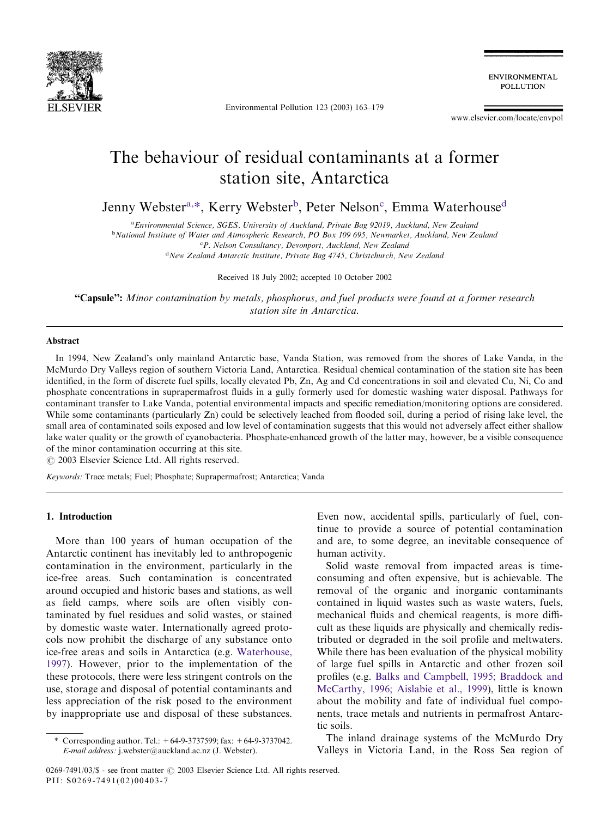

Environmental Pollution 123 (2003) 163–179

ENVIRONMENTAL **POLLUTION** 

[www.elsevier.com/locate/envpol](http://www.elsevier.com/locate/envpol/a4.3d)

# The behaviour of residual contaminants at a former station site, Antarctica

Jenny Webster<sup>a,\*</sup>, Kerry Webster<sup>b</sup>, Peter Nelson<sup>c</sup>, Emma Waterhouse<sup>d</sup>

<sup>a</sup> Environmental Science, SGES, University of Auckland, Private Bag 92019, Auckland, New Zealand

<sup>b</sup>National Institute of Water and Atmospheric Research, PO Box 109 695, Newmarket, Auckland, New Zealand

<sup>c</sup>P. Nelson Consultancy, Devonport, Auckland, New Zealand

<sup>d</sup>New Zealand Antarctic Institute, Private Bag 4745, Christchurch, New Zealand

Received 18 July 2002; accepted 10 October 2002

"Capsule": Minor contamination by metals, phosphorus, and fuel products were found at a former research station site in Antarctica.

#### Abstract

In 1994, New Zealand's only mainland Antarctic base, Vanda Station, was removed from the shores of Lake Vanda, in the McMurdo Dry Valleys region of southern Victoria Land, Antarctica. Residual chemical contamination of the station site has been identified, in the form of discrete fuel spills, locally elevated Pb, Zn, Ag and Cd concentrations in soil and elevated Cu, Ni, Co and phosphate concentrations in suprapermafrost fluids in a gully formerly used for domestic washing water disposal. Pathways for contaminant transfer to Lake Vanda, potential environmental impacts and specific remediation/monitoring options are considered. While some contaminants (particularly Zn) could be selectively leached from flooded soil, during a period of rising lake level, the small area of contaminated soils exposed and low level of contamination suggests that this would not adversely affect either shallow lake water quality or the growth of cyanobacteria. Phosphate-enhanced growth of the latter may, however, be a visible consequence of the minor contamination occurring at this site.

 $\odot$  2003 Elsevier Science Ltd. All rights reserved.

Keywords: Trace metals; Fuel; Phosphate; Suprapermafrost; Antarctica; Vanda

## 1. Introduction

More than 100 years of human occupation of the Antarctic continent has inevitably led to anthropogenic contamination in the environment, particularly in the ice-free areas. Such contamination is concentrated around occupied and historic bases and stations, as well as field camps, where soils are often visibly contaminated by fuel residues and solid wastes, or stained by domestic waste water. Internationally agreed protocols now prohibit the discharge of any substance onto ice-free areas and soils in Antarctica (e.g. [Waterhouse,](#page-16-0) [1997\)](#page-16-0). However, prior to the implementation of the these protocols, there were less stringent controls on the use, storage and disposal of potential contaminants and less appreciation of the risk posed to the environment by inappropriate use and disposal of these substances.

Even now, accidental spills, particularly of fuel, continue to provide a source of potential contamination and are, to some degree, an inevitable consequence of human activity.

Solid waste removal from impacted areas is timeconsuming and often expensive, but is achievable. The removal of the organic and inorganic contaminants contained in liquid wastes such as waste waters, fuels, mechanical fluids and chemical reagents, is more difficult as these liquids are physically and chemically redistributed or degraded in the soil profile and meltwaters. While there has been evaluation of the physical mobility of large fuel spills in Antarctic and other frozen soil profiles (e.g. [Balks and Campbell, 1995; Braddock and](#page-15-0) [McCarthy, 1996; Aislabie et al., 1999](#page-15-0)), little is known about the mobility and fate of individual fuel components, trace metals and nutrients in permafrost Antarctic soils.

The inland drainage systems of the McMurdo Dry Valleys in Victoria Land, in the Ross Sea region of

Corresponding author. Tel.:  $+64-9-3737599$ ; fax:  $+64-9-3737042$ . E-mail address: [j.webster@auckland.ac.nz](mailto:j.webster@auckland.ac.nz) (J. Webster).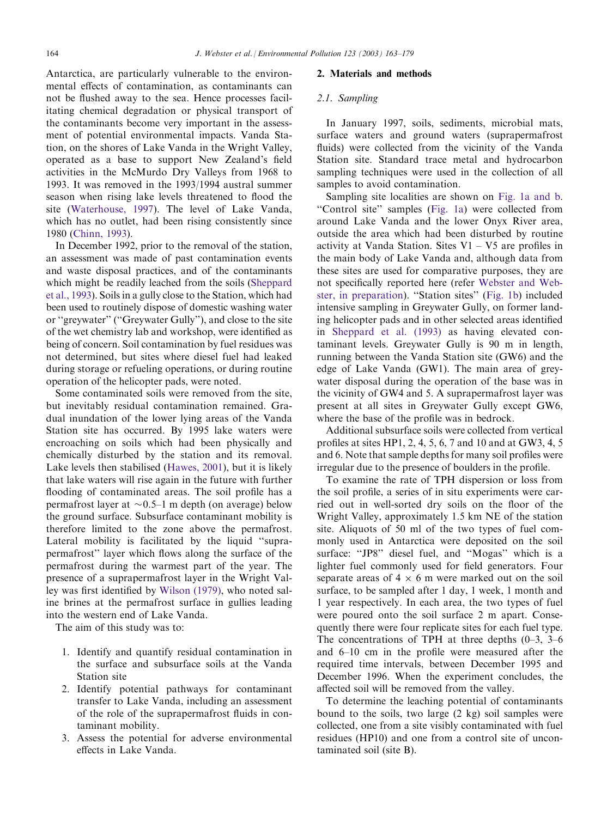Antarctica, are particularly vulnerable to the environmental effects of contamination, as contaminants can not be flushed away to the sea. Hence processes facilitating chemical degradation or physical transport of the contaminants become very important in the assessment of potential environmental impacts. Vanda Station, on the shores of Lake Vanda in the Wright Valley, operated as a base to support New Zealand's field activities in the McMurdo Dry Valleys from 1968 to 1993. It was removed in the 1993/1994 austral summer season when rising lake levels threatened to flood the site ([Waterhouse, 1997](#page-16-0)). The level of Lake Vanda, which has no outlet, had been rising consistently since 1980 [\(Chinn, 1993](#page-16-0)).

In December 1992, prior to the removal of the station, an assessment was made of past contamination events and waste disposal practices, and of the contaminants which might be readily leached from the soils ([Sheppard](#page-16-0) [et al., 1993\)](#page-16-0). Soils in a gully close to the Station, which had been used to routinely dispose of domestic washing water or ''greywater'' (''Greywater Gully''), and close to the site of the wet chemistry lab and workshop, were identified as being of concern. Soil contamination by fuel residues was not determined, but sites where diesel fuel had leaked during storage or refueling operations, or during routine operation of the helicopter pads, were noted.

Some contaminated soils were removed from the site, but inevitably residual contamination remained. Gradual inundation of the lower lying areas of the Vanda Station site has occurred. By 1995 lake waters were encroaching on soils which had been physically and chemically disturbed by the station and its removal. Lake levels then stabilised [\(Hawes, 2001\)](#page-16-0), but it is likely that lake waters will rise again in the future with further flooding of contaminated areas. The soil profile has a permafrost layer at  $\sim 0.5$ –1 m depth (on average) below the ground surface. Subsurface contaminant mobility is therefore limited to the zone above the permafrost. Lateral mobility is facilitated by the liquid ''suprapermafrost'' layer which flows along the surface of the permafrost during the warmest part of the year. The presence of a suprapermafrost layer in the Wright Valley was first identified by [Wilson \(1979\),](#page-16-0) who noted saline brines at the permafrost surface in gullies leading into the western end of Lake Vanda.

The aim of this study was to:

- 1. Identify and quantify residual contamination in the surface and subsurface soils at the Vanda Station site
- 2. Identify potential pathways for contaminant transfer to Lake Vanda, including an assessment of the role of the suprapermafrost fluids in contaminant mobility.
- 3. Assess the potential for adverse environmental effects in Lake Vanda.

#### 2. Materials and methods

## 2.1. Sampling

In January 1997, soils, sediments, microbial mats, surface waters and ground waters (suprapermafrost fluids) were collected from the vicinity of the Vanda Station site. Standard trace metal and hydrocarbon sampling techniques were used in the collection of all samples to avoid contamination.

Sampling site localities are shown on [Fig. 1a and b](#page-2-0). ''Control site'' samples [\(Fig. 1a\)](#page-2-0) were collected from around Lake Vanda and the lower Onyx River area, outside the area which had been disturbed by routine activity at Vanda Station. Sites  $V1 - V5$  are profiles in the main body of Lake Vanda and, although data from these sites are used for comparative purposes, they are not specifically reported here (refer [Webster and Web](#page-16-0)[ster, in preparation\)](#page-16-0). ''Station sites'' [\(Fig. 1b\)](#page-2-0) included intensive sampling in Greywater Gully, on former landing helicopter pads and in other selected areas identified in [Sheppard et al. \(1993\)](#page-16-0) as having elevated contaminant levels. Greywater Gully is 90 m in length, running between the Vanda Station site (GW6) and the edge of Lake Vanda (GW1). The main area of greywater disposal during the operation of the base was in the vicinity of GW4 and 5. A suprapermafrost layer was present at all sites in Greywater Gully except GW6, where the base of the profile was in bedrock.

Additional subsurface soils were collected from vertical profiles at sites HP1, 2, 4, 5, 6, 7 and 10 and at GW3, 4, 5 and 6. Note that sample depths for many soil profiles were irregular due to the presence of boulders in the profile.

To examine the rate of TPH dispersion or loss from the soil profile, a series of in situ experiments were carried out in well-sorted dry soils on the floor of the Wright Valley, approximately 1.5 km NE of the station site. Aliquots of 50 ml of the two types of fuel commonly used in Antarctica were deposited on the soil surface: ''JP8'' diesel fuel, and ''Mogas'' which is a lighter fuel commonly used for field generators. Four separate areas of  $4 \times 6$  m were marked out on the soil surface, to be sampled after 1 day, 1 week, 1 month and 1 year respectively. In each area, the two types of fuel were poured onto the soil surface 2 m apart. Consequently there were four replicate sites for each fuel type. The concentrations of TPH at three depths  $(0-3, 3-6)$ and 6–10 cm in the profile were measured after the required time intervals, between December 1995 and December 1996. When the experiment concludes, the affected soil will be removed from the valley.

To determine the leaching potential of contaminants bound to the soils, two large  $(2 \text{ kg})$  soil samples were collected, one from a site visibly contaminated with fuel residues (HP10) and one from a control site of uncontaminated soil (site B).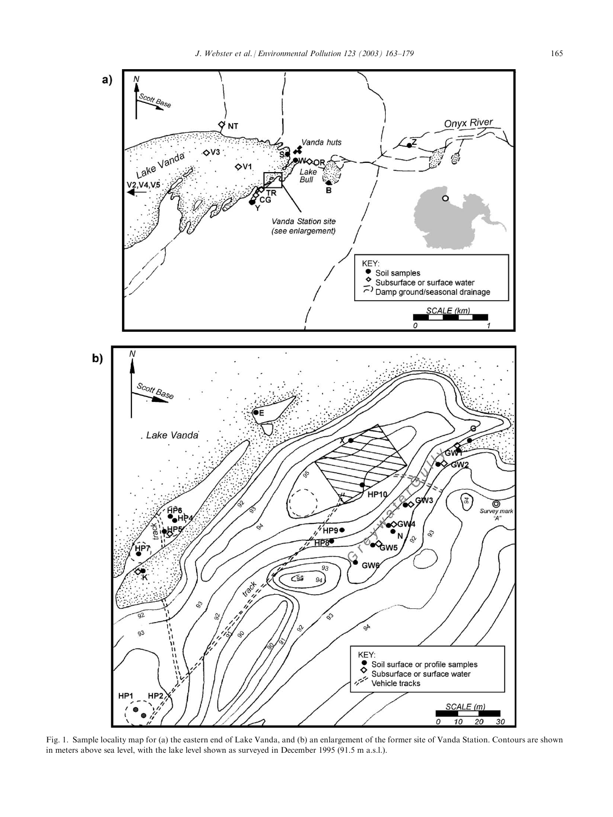<span id="page-2-0"></span>

Fig. 1. Sample locality map for (a) the eastern end of Lake Vanda, and (b) an enlargement of the former site of Vanda Station. Contours are shown in meters above sea level, with the lake level shown as surveyed in December 1995 (91.5 m a.s.l.).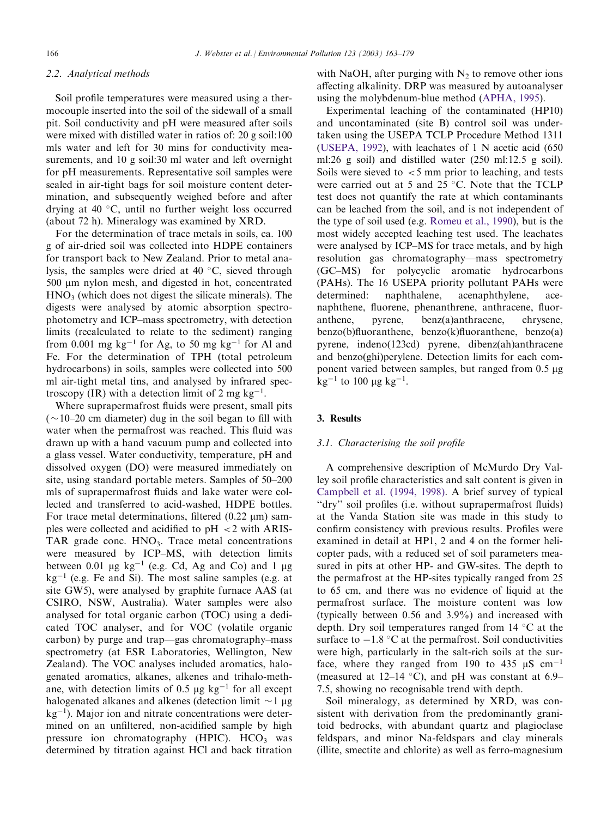# 2.2. Analytical methods

Soil profile temperatures were measured using a thermocouple inserted into the soil of the sidewall of a small pit. Soil conductivity and pH were measured after soils were mixed with distilled water in ratios of: 20 g soil:100 mls water and left for 30 mins for conductivity measurements, and 10 g soil:30 ml water and left overnight for pH measurements. Representative soil samples were sealed in air-tight bags for soil moisture content determination, and subsequently weighed before and after drying at  $40^{\circ}$ C, until no further weight loss occurred (about 72h). Mineralogy was examined by XRD.

For the determination of trace metals in soils, ca. 100 g of air-dried soil was collected into HDPE containers for transport back to New Zealand. Prior to metal analysis, the samples were dried at 40  $\degree$ C, sieved through 500 µm nylon mesh, and digested in hot, concentrated  $HNO<sub>3</sub>$  (which does not digest the silicate minerals). The digests were analysed by atomic absorption spectrophotometry and ICP–mass spectrometry, with detection limits (recalculated to relate to the sediment) ranging from 0.001 mg kg<sup>-1</sup> for Ag, to 50 mg kg<sup>-1</sup> for Al and Fe. For the determination of TPH (total petroleum hydrocarbons) in soils, samples were collected into 500 ml air-tight metal tins, and analysed by infrared spectroscopy (IR) with a detection limit of 2 mg  $kg^{-1}$ .

Where suprapermafrost fluids were present, small pits  $(\sim10-20$  cm diameter) dug in the soil began to fill with water when the permafrost was reached. This fluid was drawn up with a hand vacuum pump and collected into a glass vessel. Water conductivity, temperature, pH and dissolved oxygen (DO) were measured immediately on site, using standard portable meters. Samples of 50–200 mls of suprapermafrost fluids and lake water were collected and transferred to acid-washed, HDPE bottles. For trace metal determinations, filtered  $(0.22 \mu m)$  samples were collected and acidified to  $pH < 2$  with ARIS-TAR grade conc.  $HNO<sub>3</sub>$ . Trace metal concentrations were measured by ICP–MS, with detection limits between 0.01  $\mu$ g kg<sup>-1</sup> (e.g. Cd, Ag and Co) and 1  $\mu$ g  $kg^{-1}$  (e.g. Fe and Si). The most saline samples (e.g. at site GW5), were analysed by graphite furnace AAS (at CSIRO, NSW, Australia). Water samples were also analysed for total organic carbon (TOC) using a dedicated TOC analyser, and for VOC (volatile organic carbon) by purge and trap—gas chromatography–mass spectrometry (at ESR Laboratories, Wellington, New Zealand). The VOC analyses included aromatics, halogenated aromatics, alkanes, alkenes and trihalo-methane, with detection limits of 0.5  $\mu$ g kg<sup>-1</sup> for all except halogenated alkanes and alkenes (detection limit  $\sim$ 1  $\mu$ g  $kg<sup>-1</sup>$ ). Major ion and nitrate concentrations were determined on an unfiltered, non-acidified sample by high pressure ion chromatography  $(HPIC)$ .  $HCO<sub>3</sub>$  was determined by titration against HCl and back titration with NaOH, after purging with  $N_2$  to remove other ions affecting alkalinity. DRP was measured by autoanalyser using the molybdenum-blue method ([APHA, 1995](#page-15-0)).

Experimental leaching of the contaminated (HP10) and uncontaminated (site B) control soil was undertaken using the USEPA TCLP Procedure Method 1311 [\(USEPA, 1992\)](#page-16-0), with leachates of 1 N acetic acid (650 ml:26 g soil) and distilled water (250 ml:12.5 g soil). Soils were sieved to  $\lt$  5 mm prior to leaching, and tests were carried out at 5 and 25  $\degree$ C. Note that the TCLP test does not quantify the rate at which contaminants can be leached from the soil, and is not independent of the type of soil used (e.g. [Romeu et al., 1990](#page-16-0)), but is the most widely accepted leaching test used. The leachates were analysed by ICP–MS for trace metals, and by high resolution gas chromatography—mass spectrometry (GC–MS) for polycyclic aromatic hydrocarbons (PAHs). The 16 USEPA priority pollutant PAHs were determined: naphthalene, acenaphthylene, acenaphthene, fluorene, phenanthrene, anthracene, fluoranthene, pyrene, benz(a)anthracene, chrysene, benzo(b)fluoranthene, benzo(k)fluoranthene, benzo(a) pyrene, indeno(123cd) pyrene, dibenz(ah)anthracene and benzo(ghi)perylene. Detection limits for each component varied between samples, but ranged from  $0.5 \mu$ g  $kg^{-1}$  to 100 µg  $kg^{-1}$ .

# 3. Results

# 3.1. Characterising the soil profile

A comprehensive description of McMurdo Dry Valley soil profile characteristics and salt content is given in [Campbell et al. \(1994, 1998\)](#page-16-0). A brief survey of typical "dry" soil profiles (i.e. without suprapermafrost fluids) at the Vanda Station site was made in this study to confirm consistency with previous results. Profiles were examined in detail at HP1, 2 and 4 on the former helicopter pads, with a reduced set of soil parameters measured in pits at other HP- and GW-sites. The depth to the permafrost at the HP-sites typically ranged from 25 to 65 cm, and there was no evidence of liquid at the permafrost surface. The moisture content was low (typically between 0.56 and 3.9%) and increased with depth. Dry soil temperatures ranged from  $14 \degree C$  at the surface to  $-1.8$  °C at the permafrost. Soil conductivities were high, particularly in the salt-rich soils at the surface, where they ranged from 190 to 435  $\mu$ S cm<sup>-1</sup> (measured at 12–14 °C), and pH was constant at  $6.9-$ 7.5, showing no recognisable trend with depth.

Soil mineralogy, as determined by XRD, was consistent with derivation from the predominantly granitoid bedrocks, with abundant quartz and plagioclase feldspars, and minor Na-feldspars and clay minerals (illite, smectite and chlorite) as well as ferro-magnesium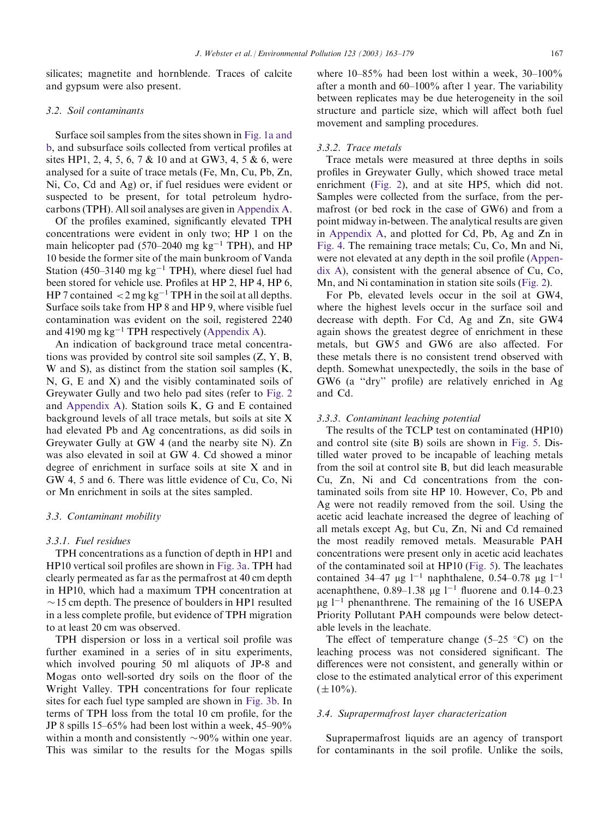silicates; magnetite and hornblende. Traces of calcite and gypsum were also present.

#### 3.2. Soil contaminants

Surface soil samples from the sites shown in [Fig. 1a and](#page-2-0) [b](#page-2-0), and subsurface soils collected from vertical profiles at sites HP1, 2, 4, 5, 6, 7 & 10 and at GW3, 4, 5 & 6, were analysed for a suite of trace metals (Fe, Mn, Cu, Pb, Zn, Ni, Co, Cd and Ag) or, if fuel residues were evident or suspected to be present, for total petroleum hydrocarbons (TPH). All soil analyses are given in [Appendix A](#page-14-0).

Of the profiles examined, significantly elevated TPH concentrations were evident in only two; HP 1 on the main helicopter pad (570–2040 mg  $kg^{-1}$  TPH), and HP 10 beside the former site of the main bunkroom of Vanda Station (450–3140 mg  $kg^{-1}$  TPH), where diesel fuel had been stored for vehicle use. Profiles at HP 2, HP 4, HP 6, HP 7 contained  $\langle 2 \text{ mg kg}^{-1} \text{ TPH} \rangle$  in the soil at all depths. Surface soils take from HP 8 and HP 9, where visible fuel contamination was evident on the soil, registered 2240 and 4190 mg  $kg^{-1}$  TPH respectively [\(Appendix A\)](#page-14-0).

An indication of background trace metal concentrations was provided by control site soil samples (Z, Y, B, W and S), as distinct from the station soil samples (K, N, G, E and X) and the visibly contaminated soils of Greywater Gully and two helo pad sites (refer to [Fig. 2](#page-5-0) and [Appendix A\)](#page-14-0). Station soils K, G and E contained background levels of all trace metals, but soils at site X had elevated Pb and Ag concentrations, as did soils in Greywater Gully at GW 4 (and the nearby site N). Zn was also elevated in soil at GW 4. Cd showed a minor degree of enrichment in surface soils at site X and in GW 4, 5 and 6. There was little evidence of Cu, Co, Ni or Mn enrichment in soils at the sites sampled.

#### 3.3. Contaminant mobility

#### 3.3.1. Fuel residues

TPH concentrations as a function of depth in HP1 and HP10 vertical soil profiles are shown in [Fig. 3a.](#page-6-0) TPH had clearly permeated as far as the permafrost at 40 cm depth in HP10, which had a maximum TPH concentration at  $\sim$  15 cm depth. The presence of boulders in HP1 resulted in a less complete profile, but evidence of TPH migration to at least 20 cm was observed.

TPH dispersion or loss in a vertical soil profile was further examined in a series of in situ experiments, which involved pouring 50 ml aliquots of JP-8 and Mogas onto well-sorted dry soils on the floor of the Wright Valley. TPH concentrations for four replicate sites for each fuel type sampled are shown in [Fig. 3b](#page-6-0). In terms of TPH loss from the total 10 cm profile, for the JP 8 spills 15–65% had been lost within a week, 45–90% within a month and consistently  $\sim 90\%$  within one year. This was similar to the results for the Mogas spills where 10–85% had been lost within a week, 30–100% after a month and 60–100% after 1 year. The variability between replicates may be due heterogeneity in the soil structure and particle size, which will affect both fuel movement and sampling procedures.

#### 3.3.2. Trace metals

Trace metals were measured at three depths in soils profiles in Greywater Gully, which showed trace metal enrichment [\(Fig. 2](#page-5-0)), and at site HP5, which did not. Samples were collected from the surface, from the permafrost (or bed rock in the case of GW6) and from a point midway in-between. The analytical results are given in [Appendix A,](#page-14-0) and plotted for Cd, Pb, Ag and Zn in [Fig. 4.](#page-8-0) The remaining trace metals; Cu, Co, Mn and Ni, were not elevated at any depth in the soil profile [\(Appen](#page-14-0)[dix A\)](#page-14-0), consistent with the general absence of Cu, Co, Mn, and Ni contamination in station site soils ([Fig. 2\)](#page-5-0).

For Pb, elevated levels occur in the soil at GW4, where the highest levels occur in the surface soil and decrease with depth. For Cd, Ag and Zn, site GW4 again shows the greatest degree of enrichment in these metals, but GW5 and GW6 are also affected. For these metals there is no consistent trend observed with depth. Somewhat unexpectedly, the soils in the base of GW6 (a ''dry'' profile) are relatively enriched in Ag and Cd.

#### 3.3.3. Contaminant leaching potential

The results of the TCLP test on contaminated (HP10) and control site (site B) soils are shown in [Fig. 5](#page-9-0). Distilled water proved to be incapable of leaching metals from the soil at control site B, but did leach measurable Cu, Zn, Ni and Cd concentrations from the contaminated soils from site HP 10. However, Co, Pb and Ag were not readily removed from the soil. Using the acetic acid leachate increased the degree of leaching of all metals except Ag, but Cu, Zn, Ni and Cd remained the most readily removed metals. Measurable PAH concentrations were present only in acetic acid leachates of the contaminated soil at HP10 ([Fig. 5](#page-9-0)). The leachates contained 34–47 µg  $1^{-1}$  naphthalene, 0.54–0.78 µg  $1^{-1}$ acenaphthene,  $0.89-1.38 \mu g$ <sup>1-1</sup> fluorene and 0.14-0.23  $\mu$ g l<sup>-1</sup> phenanthrene. The remaining of the 16 USEPA Priority Pollutant PAH compounds were below detectable levels in the leachate.

The effect of temperature change (5–25  $\degree$ C) on the leaching process was not considered significant. The differences were not consistent, and generally within or close to the estimated analytical error of this experiment  $(\pm 10\%)$ .

## 3.4. Suprapermafrost layer characterization

Suprapermafrost liquids are an agency of transport for contaminants in the soil profile. Unlike the soils,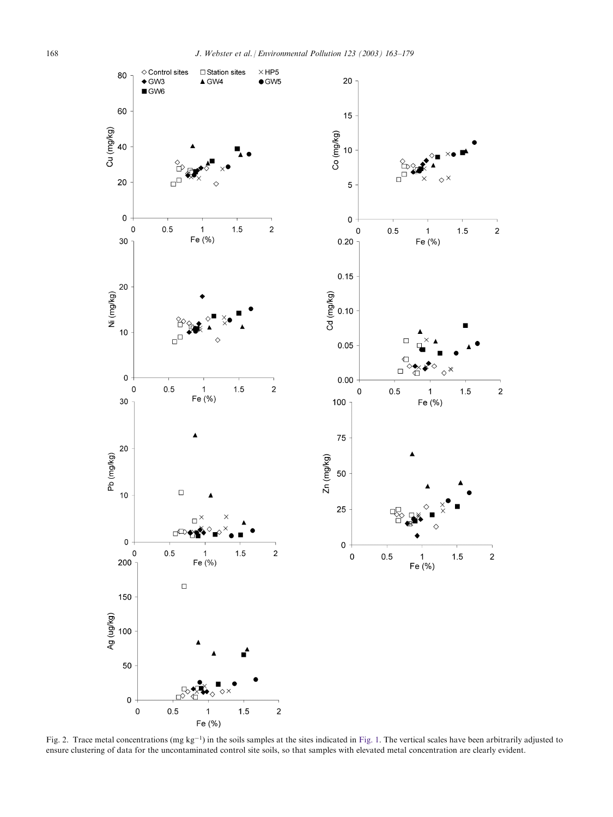<span id="page-5-0"></span>

Fig. 2. Trace metal concentrations (mg  $kg^{-1}$ ) in the soils samples at the sites indicated in [Fig. 1](#page-2-0). The vertical scales have been arbitrarily adjusted to ensure clustering of data for the uncontaminated control site soils, so that samples with elevated metal concentration are clearly evident.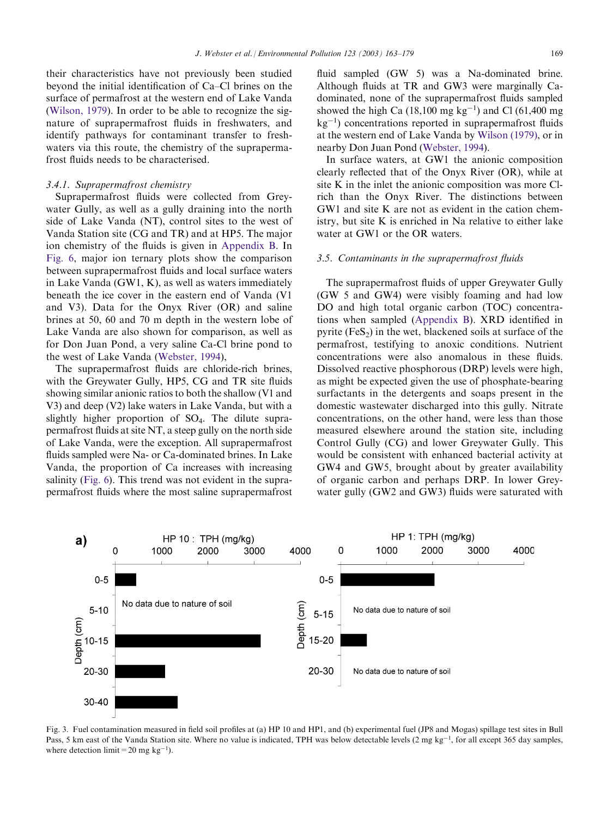<span id="page-6-0"></span>their characteristics have not previously been studied beyond the initial identification of Ca–Cl brines on the surface of permafrost at the western end of Lake Vanda [\(Wilson, 1979](#page-16-0)). In order to be able to recognize the signature of suprapermafrost fluids in freshwaters, and identify pathways for contaminant transfer to freshwaters via this route, the chemistry of the suprapermafrost fluids needs to be characterised.

# 3.4.1. Suprapermafrost chemistry

Suprapermafrost fluids were collected from Greywater Gully, as well as a gully draining into the north side of Lake Vanda (NT), control sites to the west of Vanda Station site (CG and TR) and at HP5. The major ion chemistry of the fluids is given in [Appendix B.](#page-15-0) In [Fig. 6,](#page-10-0) major ion ternary plots show the comparison between suprapermafrost fluids and local surface waters in Lake Vanda (GW1, K), as well as waters immediately beneath the ice cover in the eastern end of Vanda (V1 and V3). Data for the Onyx River (OR) and saline brines at 50, 60 and 70 m depth in the western lobe of Lake Vanda are also shown for comparison, as well as for Don Juan Pond, a very saline Ca-Cl brine pond to the west of Lake Vanda ([Webster, 1994](#page-16-0)),

The suprapermafrost fluids are chloride-rich brines, with the Greywater Gully, HP5, CG and TR site fluids showing similar anionic ratios to both the shallow (V1 and V3) and deep (V2) lake waters in Lake Vanda, but with a slightly higher proportion of SO4. The dilute suprapermafrost fluids at site NT, a steep gully on the north side of Lake Vanda, were the exception. All suprapermafrost fluids sampled were Na- or Ca-dominated brines. In Lake Vanda, the proportion of Ca increases with increasing salinity [\(Fig. 6\)](#page-10-0). This trend was not evident in the suprapermafrost fluids where the most saline suprapermafrost

fluid sampled (GW 5) was a Na-dominated brine. Although fluids at TR and GW3 were marginally Cadominated, none of the suprapermafrost fluids sampled showed the high Ca  $(18,100 \text{ mg kg}^{-1})$  and Cl  $(61,400 \text{ mg})$  $kg^{-1}$ ) concentrations reported in suprapermafrost fluids at the western end of Lake Vanda by [Wilson \(1979\),](#page-16-0) or in nearby Don Juan Pond ([Webster, 1994\)](#page-16-0).

In surface waters, at GW1 the anionic composition clearly reflected that of the Onyx River (OR), while at site K in the inlet the anionic composition was more Clrich than the Onyx River. The distinctions between GW1 and site K are not as evident in the cation chemistry, but site K is enriched in Na relative to either lake water at GW1 or the OR waters.

## 3.5. Contaminants in the suprapermafrost fluids

The suprapermafrost fluids of upper Greywater Gully (GW 5 and GW4) were visibly foaming and had low DO and high total organic carbon (TOC) concentrations when sampled [\(Appendix B](#page-15-0)). XRD identified in pyrite ( $FeS<sub>2</sub>$ ) in the wet, blackened soils at surface of the permafrost, testifying to anoxic conditions. Nutrient concentrations were also anomalous in these fluids. Dissolved reactive phosphorous (DRP) levels were high, as might be expected given the use of phosphate-bearing surfactants in the detergents and soaps present in the domestic wastewater discharged into this gully. Nitrate concentrations, on the other hand, were less than those measured elsewhere around the station site, including Control Gully (CG) and lower Greywater Gully. This would be consistent with enhanced bacterial activity at GW4 and GW5, brought about by greater availability of organic carbon and perhaps DRP. In lower Greywater gully (GW2 and GW3) fluids were saturated with



Fig. 3. Fuel contamination measured in field soil profiles at (a) HP 10 and HP1, and (b) experimental fuel (JP8 and Mogas) spillage test sites in Bull Pass, 5 km east of the Vanda Station site. Where no value is indicated, TPH was below detectable levels  $(2 \text{ mg kg}^{-1})$ , for all except 365 day samples, where detection limit = 20 mg kg<sup>-1</sup>).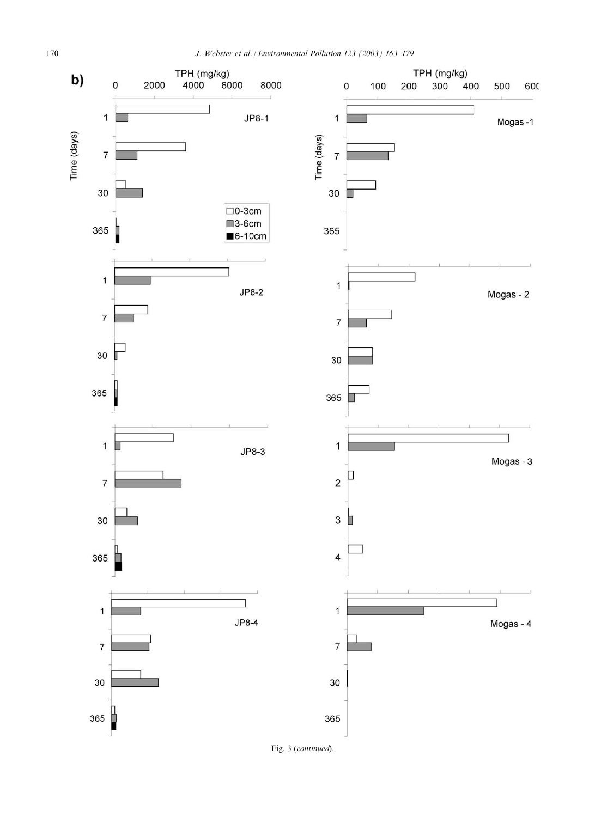

Fig. 3 (continued).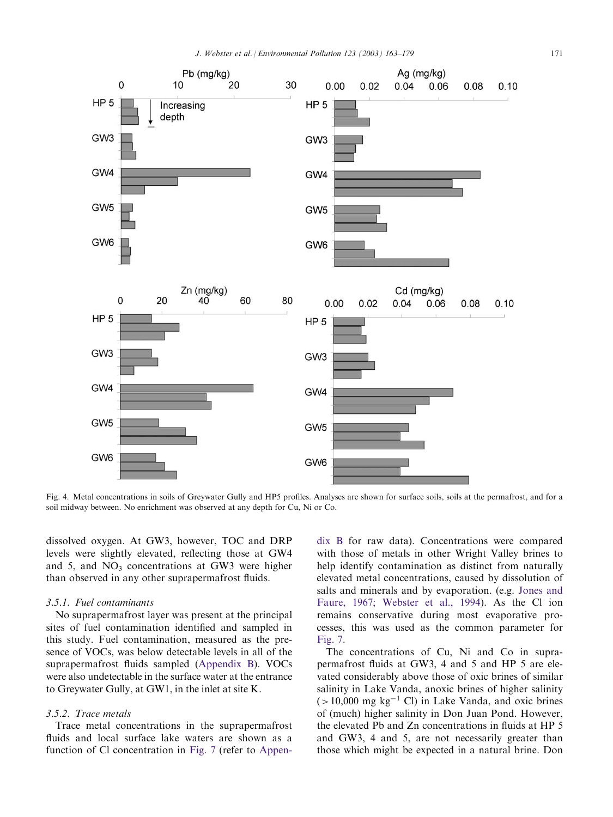<span id="page-8-0"></span>

Fig. 4. Metal concentrations in soils of Greywater Gully and HP5 profiles. Analyses are shown for surface soils, soils at the permafrost, and for a soil midway between. No enrichment was observed at any depth for Cu, Ni or Co.

dissolved oxygen. At GW3, however, TOC and DRP levels were slightly elevated, reflecting those at GW4 and 5, and  $NO<sub>3</sub>$  concentrations at GW3 were higher than observed in any other suprapermafrost fluids.

## 3.5.1. Fuel contaminants

No suprapermafrost layer was present at the principal sites of fuel contamination identified and sampled in this study. Fuel contamination, measured as the presence of VOCs, was below detectable levels in all of the suprapermafrost fluids sampled ([Appendix B\)](#page-15-0). VOCs were also undetectable in the surface water at the entrance to Greywater Gully, at GW1, in the inlet at site K.

## 3.5.2. Trace metals

Trace metal concentrations in the suprapermafrost fluids and local surface lake waters are shown as a function of Cl concentration in [Fig. 7](#page-11-0) (refer to [Appen-](#page-15-0)

[dix B](#page-15-0) for raw data). Concentrations were compared with those of metals in other Wright Valley brines to help identify contamination as distinct from naturally elevated metal concentrations, caused by dissolution of salts and minerals and by evaporation. (e.g. [Jones and](#page-16-0) [Faure, 1967; Webster et al., 1994\)](#page-16-0). As the Cl ion remains conservative during most evaporative processes, this was used as the common parameter for [Fig. 7.](#page-11-0)

The concentrations of Cu, Ni and Co in suprapermafrost fluids at GW3, 4 and 5 and HP 5 are elevated considerably above those of oxic brines of similar salinity in Lake Vanda, anoxic brines of higher salinity  $(>10,000 \text{ mg kg}^{-1} \text{ Cl})$  in Lake Vanda, and oxic brines of (much) higher salinity in Don Juan Pond. However, the elevated Pb and Zn concentrations in fluids at HP 5 and GW3, 4 and 5, are not necessarily greater than those which might be expected in a natural brine. Don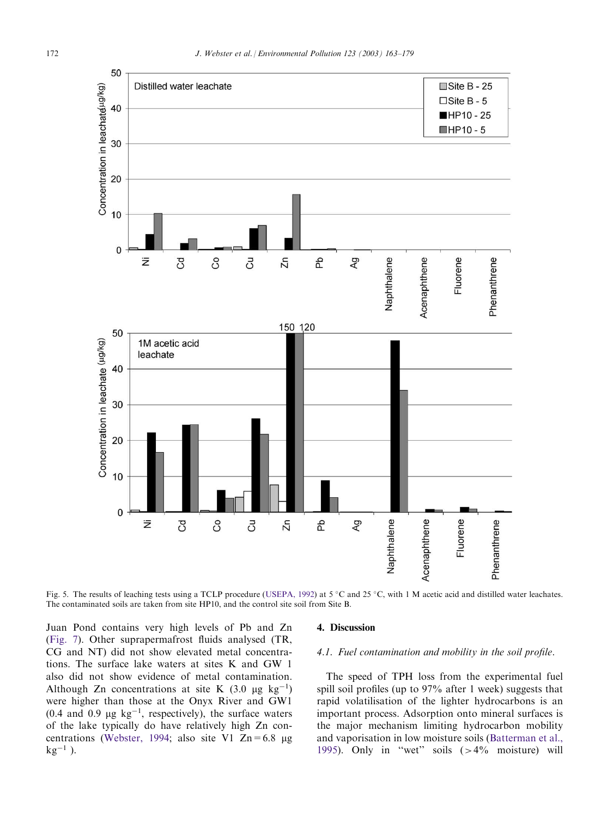<span id="page-9-0"></span>

Fig. 5. The results of leaching tests using a TCLP procedure ([USEPA, 1992](#page-16-0)) at  $5^{\circ}$ C and  $25^{\circ}$ C, with 1 M acetic acid and distilled water leachates. The contaminated soils are taken from site HP10, and the control site soil from Site B.

Juan Pond contains very high levels of Pb and Zn [\(Fig. 7\)](#page-11-0). Other suprapermafrost fluids analysed (TR, CG and NT) did not show elevated metal concentrations. The surface lake waters at sites K and GW 1 also did not show evidence of metal contamination. Although Zn concentrations at site K  $(3.0 \text{ µg kg}^{-1})$ were higher than those at the Onyx River and GW1 (0.4 and 0.9  $\mu$ g kg<sup>-1</sup>, respectively), the surface waters of the lake typically do have relatively high Zn con-centrations [\(Webster, 1994](#page-16-0); also site V1  $Zn = 6.8 \mu g$  $kg^{-1}$ ).

#### 4. Discussion

# 4.1. Fuel contamination and mobility in the soil profile.

The speed of TPH loss from the experimental fuel spill soil profiles (up to 97% after 1 week) suggests that rapid volatilisation of the lighter hydrocarbons is an important process. Adsorption onto mineral surfaces is the major mechanism limiting hydrocarbon mobility and vaporisation in low moisture soils ([Batterman et al.,](#page-15-0) [1995\)](#page-15-0). Only in "wet" soils  $(>4\%$  moisture) will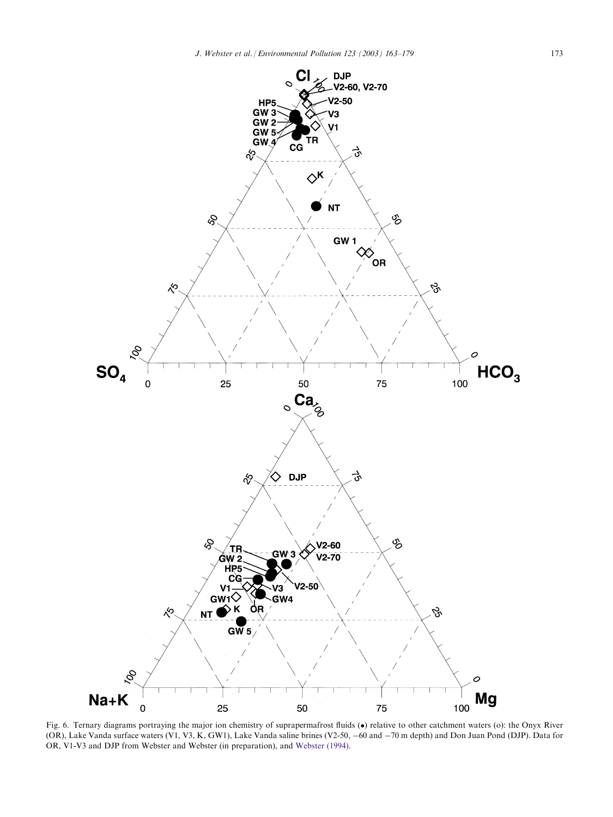<span id="page-10-0"></span>

Fig. 6. Ternary diagrams portraying the major ion chemistry of suprapermafrost fluids (•) relative to other catchment waters (o): the Onyx River (OR), Lake Vanda surface waters (V1, V3, K, GW1), Lake Vanda saline brines (V2-50, -60 and -70 m depth) and Don Juan Pond (DJP). Data for OR, V1-V3 and DJP from Webster and Webster (in preparation), and [Webster \(1994\).](#page-16-0)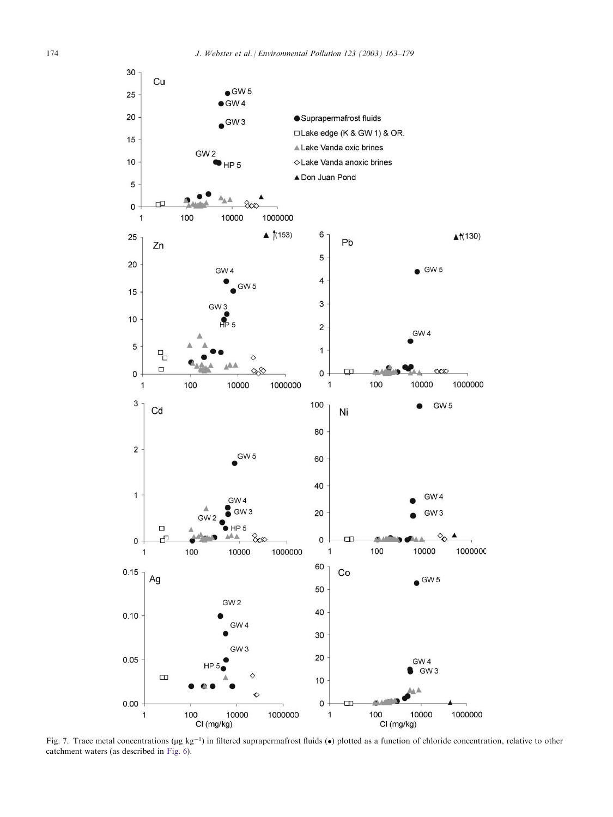<span id="page-11-0"></span>

Fig. 7. Trace metal concentrations ( $\mu$ g kg<sup>-1</sup>) in filtered suprapermafrost fluids ( $\bullet$ ) plotted as a function of chloride concentration, relative to other catchment waters (as described in [Fig. 6\)](#page-10-0).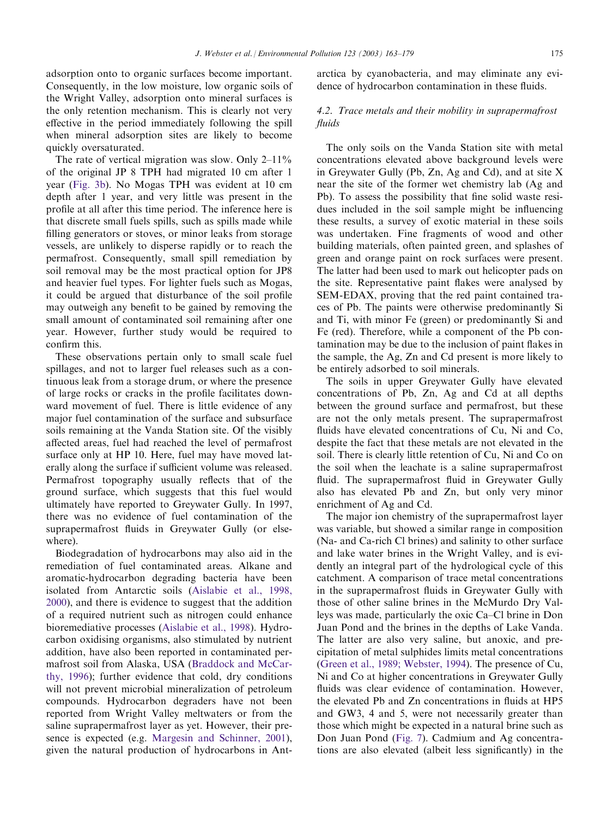adsorption onto to organic surfaces become important. Consequently, in the low moisture, low organic soils of the Wright Valley, adsorption onto mineral surfaces is the only retention mechanism. This is clearly not very effective in the period immediately following the spill when mineral adsorption sites are likely to become quickly oversaturated.

The rate of vertical migration was slow. Only  $2-11\%$ of the original JP 8 TPH had migrated 10 cm after 1 year ([Fig. 3b](#page-6-0)). No Mogas TPH was evident at 10 cm depth after 1 year, and very little was present in the profile at all after this time period. The inference here is that discrete small fuels spills, such as spills made while filling generators or stoves, or minor leaks from storage vessels, are unlikely to disperse rapidly or to reach the permafrost. Consequently, small spill remediation by soil removal may be the most practical option for JP8 and heavier fuel types. For lighter fuels such as Mogas, it could be argued that disturbance of the soil profile may outweigh any benefit to be gained by removing the small amount of contaminated soil remaining after one year. However, further study would be required to confirm this.

These observations pertain only to small scale fuel spillages, and not to larger fuel releases such as a continuous leak from a storage drum, or where the presence of large rocks or cracks in the profile facilitates downward movement of fuel. There is little evidence of any major fuel contamination of the surface and subsurface soils remaining at the Vanda Station site. Of the visibly affected areas, fuel had reached the level of permafrost surface only at HP 10. Here, fuel may have moved laterally along the surface if sufficient volume was released. Permafrost topography usually reflects that of the ground surface, which suggests that this fuel would ultimately have reported to Greywater Gully. In 1997, there was no evidence of fuel contamination of the suprapermafrost fluids in Greywater Gully (or elsewhere).

Biodegradation of hydrocarbons may also aid in the remediation of fuel contaminated areas. Alkane and aromatic-hydrocarbon degrading bacteria have been isolated from Antarctic soils ([Aislabie et al., 1998,](#page-15-0) [2000\)](#page-15-0), and there is evidence to suggest that the addition of a required nutrient such as nitrogen could enhance bioremediative processes ([Aislabie et al., 1998](#page-15-0)). Hydrocarbon oxidising organisms, also stimulated by nutrient addition, have also been reported in contaminated permafrost soil from Alaska, USA [\(Braddock and McCar](#page-16-0)[thy, 1996](#page-16-0)); further evidence that cold, dry conditions will not prevent microbial mineralization of petroleum compounds. Hydrocarbon degraders have not been reported from Wright Valley meltwaters or from the saline suprapermafrost layer as yet. However, their presence is expected (e.g. [Margesin and Schinner, 2001\)](#page-16-0), given the natural production of hydrocarbons in Antarctica by cyanobacteria, and may eliminate any evidence of hydrocarbon contamination in these fluids.

# 4.2. Trace metals and their mobility in suprapermafrost fluids

The only soils on the Vanda Station site with metal concentrations elevated above background levels were in Greywater Gully (Pb, Zn, Ag and Cd), and at site X near the site of the former wet chemistry lab (Ag and Pb). To assess the possibility that fine solid waste residues included in the soil sample might be influencing these results, a survey of exotic material in these soils was undertaken. Fine fragments of wood and other building materials, often painted green, and splashes of green and orange paint on rock surfaces were present. The latter had been used to mark out helicopter pads on the site. Representative paint flakes were analysed by SEM-EDAX, proving that the red paint contained traces of Pb. The paints were otherwise predominantly Si and Ti, with minor Fe (green) or predominantly Si and Fe (red). Therefore, while a component of the Pb contamination may be due to the inclusion of paint flakes in the sample, the Ag, Zn and Cd present is more likely to be entirely adsorbed to soil minerals.

The soils in upper Greywater Gully have elevated concentrations of Pb, Zn, Ag and Cd at all depths between the ground surface and permafrost, but these are not the only metals present. The suprapermafrost fluids have elevated concentrations of Cu, Ni and Co, despite the fact that these metals are not elevated in the soil. There is clearly little retention of Cu, Ni and Co on the soil when the leachate is a saline suprapermafrost fluid. The suprapermafrost fluid in Greywater Gully also has elevated Pb and Zn, but only very minor enrichment of Ag and Cd.

The major ion chemistry of the suprapermafrost layer was variable, but showed a similar range in composition (Na- and Ca-rich Cl brines) and salinity to other surface and lake water brines in the Wright Valley, and is evidently an integral part of the hydrological cycle of this catchment. A comparison of trace metal concentrations in the suprapermafrost fluids in Greywater Gully with those of other saline brines in the McMurdo Dry Valleys was made, particularly the oxic Ca–Cl brine in Don Juan Pond and the brines in the depths of Lake Vanda. The latter are also very saline, but anoxic, and precipitation of metal sulphides limits metal concentrations [\(Green et al., 1989; Webster, 1994\)](#page-16-0). The presence of Cu, Ni and Co at higher concentrations in Greywater Gully fluids was clear evidence of contamination. However, the elevated Pb and Zn concentrations in fluids at HP5 and GW3, 4 and 5, were not necessarily greater than those which might be expected in a natural brine such as Don Juan Pond [\(Fig. 7](#page-11-0)). Cadmium and Ag concentrations are also elevated (albeit less significantly) in the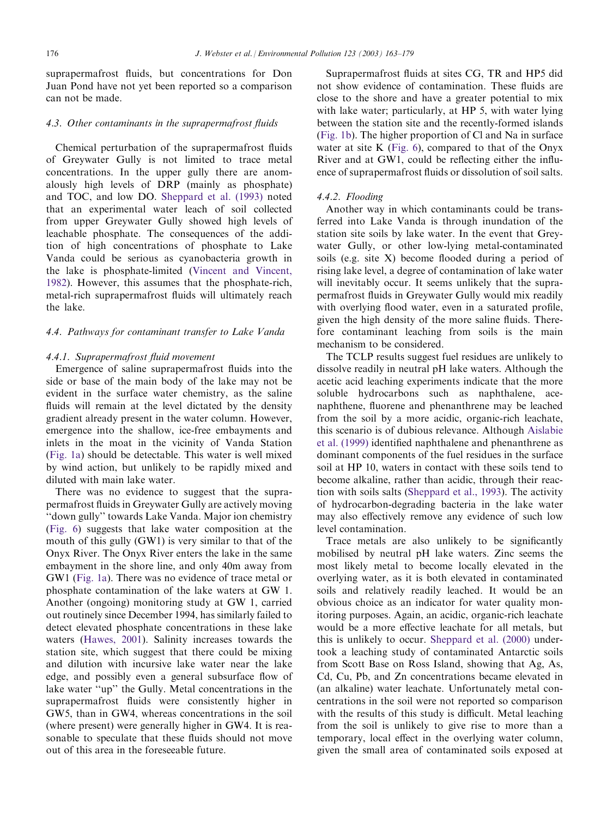suprapermafrost fluids, but concentrations for Don Juan Pond have not yet been reported so a comparison can not be made.

#### 4.3. Other contaminants in the suprapermafrost fluids

Chemical perturbation of the suprapermafrost fluids of Greywater Gully is not limited to trace metal concentrations. In the upper gully there are anomalously high levels of DRP (mainly as phosphate) and TOC, and low DO. [Sheppard et al. \(1993\)](#page-16-0) noted that an experimental water leach of soil collected from upper Greywater Gully showed high levels of leachable phosphate. The consequences of the addition of high concentrations of phosphate to Lake Vanda could be serious as cyanobacteria growth in the lake is phosphate-limited [\(Vincent and Vincent,](#page-16-0) [1982\)](#page-16-0). However, this assumes that the phosphate-rich, metal-rich suprapermafrost fluids will ultimately reach the lake.

#### 4.4. Pathways for contaminant transfer to Lake Vanda

#### 4.4.1. Suprapermafrost fluid movement

Emergence of saline suprapermafrost fluids into the side or base of the main body of the lake may not be evident in the surface water chemistry, as the saline fluids will remain at the level dictated by the density gradient already present in the water column. However, emergence into the shallow, ice-free embayments and inlets in the moat in the vicinity of Vanda Station [\(Fig. 1a\)](#page-2-0) should be detectable. This water is well mixed by wind action, but unlikely to be rapidly mixed and diluted with main lake water.

There was no evidence to suggest that the suprapermafrost fluids in Greywater Gully are actively moving ''down gully'' towards Lake Vanda. Major ion chemistry [\(Fig. 6\)](#page-10-0) suggests that lake water composition at the mouth of this gully (GW1) is very similar to that of the Onyx River. The Onyx River enters the lake in the same embayment in the shore line, and only 40m away from GW1 [\(Fig. 1a](#page-2-0)). There was no evidence of trace metal or phosphate contamination of the lake waters at GW 1. Another (ongoing) monitoring study at GW 1, carried out routinely since December 1994, has similarly failed to detect elevated phosphate concentrations in these lake waters [\(Hawes, 2001](#page-16-0)). Salinity increases towards the station site, which suggest that there could be mixing and dilution with incursive lake water near the lake edge, and possibly even a general subsurface flow of lake water ''up'' the Gully. Metal concentrations in the suprapermafrost fluids were consistently higher in GW5, than in GW4, whereas concentrations in the soil (where present) were generally higher in GW4. It is reasonable to speculate that these fluids should not move out of this area in the foreseeable future.

Suprapermafrost fluids at sites CG, TR and HP5 did not show evidence of contamination. These fluids are close to the shore and have a greater potential to mix with lake water; particularly, at HP 5, with water lying between the station site and the recently-formed islands [\(Fig. 1b](#page-2-0)). The higher proportion of Cl and Na in surface water at site K (Fig.  $6$ ), compared to that of the Onyx River and at GW1, could be reflecting either the influence of suprapermafrost fluids or dissolution of soil salts.

#### 4.4.2. Flooding

Another way in which contaminants could be transferred into Lake Vanda is through inundation of the station site soils by lake water. In the event that Greywater Gully, or other low-lying metal-contaminated soils (e.g. site X) become flooded during a period of rising lake level, a degree of contamination of lake water will inevitably occur. It seems unlikely that the suprapermafrost fluids in Greywater Gully would mix readily with overlying flood water, even in a saturated profile, given the high density of the more saline fluids. Therefore contaminant leaching from soils is the main mechanism to be considered.

The TCLP results suggest fuel residues are unlikely to dissolve readily in neutral pH lake waters. Although the acetic acid leaching experiments indicate that the more soluble hydrocarbons such as naphthalene, acenaphthene, fluorene and phenanthrene may be leached from the soil by a more acidic, organic-rich leachate, this scenario is of dubious relevance. Although Aislabie et al. (1999) identified naphthalene and phenanthrene as dominant components of the fuel residues in the surface soil at HP 10, waters in contact with these soils tend to become alkaline, rather than acidic, through their reaction with soils salts [\(Sheppard et al., 1993\)](#page-16-0). The activity of hydrocarbon-degrading bacteria in the lake water may also effectively remove any evidence of such low level contamination.

Trace metals are also unlikely to be significantly mobilised by neutral pH lake waters. Zinc seems the most likely metal to become locally elevated in the overlying water, as it is both elevated in contaminated soils and relatively readily leached. It would be an obvious choice as an indicator for water quality monitoring purposes. Again, an acidic, organic-rich leachate would be a more effective leachate for all metals, but this is unlikely to occur. [Sheppard et al. \(2000\)](#page-16-0) undertook a leaching study of contaminated Antarctic soils from Scott Base on Ross Island, showing that Ag, As, Cd, Cu, Pb, and Zn concentrations became elevated in (an alkaline) water leachate. Unfortunately metal concentrations in the soil were not reported so comparison with the results of this study is difficult. Metal leaching from the soil is unlikely to give rise to more than a temporary, local effect in the overlying water column, given the small area of contaminated soils exposed at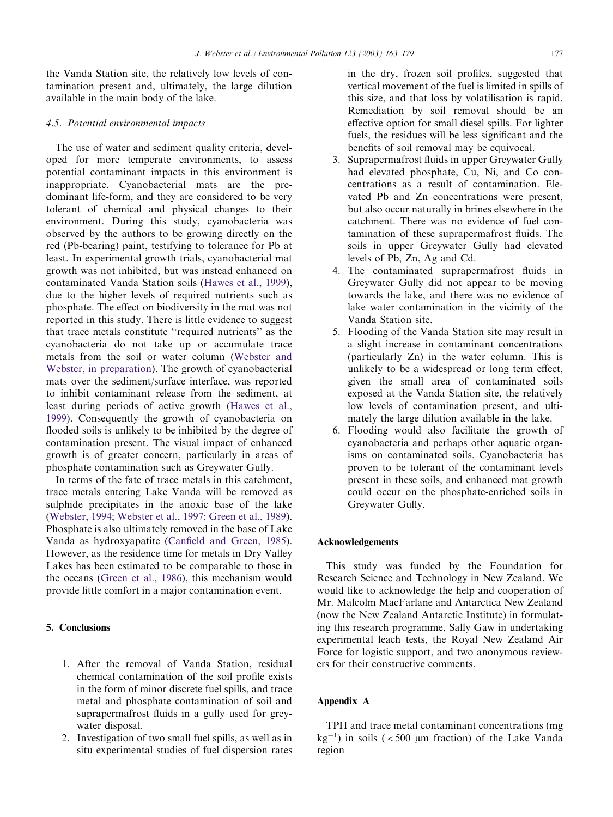<span id="page-14-0"></span>the Vanda Station site, the relatively low levels of contamination present and, ultimately, the large dilution available in the main body of the lake.

## 4.5. Potential environmental impacts

The use of water and sediment quality criteria, developed for more temperate environments, to assess potential contaminant impacts in this environment is inappropriate. Cyanobacterial mats are the predominant life-form, and they are considered to be very tolerant of chemical and physical changes to their environment. During this study, cyanobacteria was observed by the authors to be growing directly on the red (Pb-bearing) paint, testifying to tolerance for Pb at least. In experimental growth trials, cyanobacterial mat growth was not inhibited, but was instead enhanced on contaminated Vanda Station soils [\(Hawes et al., 1999\)](#page-16-0), due to the higher levels of required nutrients such as phosphate. The effect on biodiversity in the mat was not reported in this study. There is little evidence to suggest that trace metals constitute ''required nutrients'' as the cyanobacteria do not take up or accumulate trace metals from the soil or water column [\(Webster and](#page-16-0) [Webster, in preparation](#page-16-0)). The growth of cyanobacterial mats over the sediment/surface interface, was reported to inhibit contaminant release from the sediment, at least during periods of active growth ([Hawes et al.,](#page-16-0) [1999\)](#page-16-0). Consequently the growth of cyanobacteria on flooded soils is unlikely to be inhibited by the degree of contamination present. The visual impact of enhanced growth is of greater concern, particularly in areas of phosphate contamination such as Greywater Gully.

In terms of the fate of trace metals in this catchment, trace metals entering Lake Vanda will be removed as sulphide precipitates in the anoxic base of the lake [\(Webster, 1994; Webster et al., 1997; Green et al., 1989\)](#page-16-0). Phosphate is also ultimately removed in the base of Lake Vanda as hydroxyapatite [\(Canfield and Green, 1985\)](#page-16-0). However, as the residence time for metals in Dry Valley Lakes has been estimated to be comparable to those in the oceans ([Green et al., 1986\)](#page-16-0), this mechanism would provide little comfort in a major contamination event.

# 5. Conclusions

- 1. After the removal of Vanda Station, residual chemical contamination of the soil profile exists in the form of minor discrete fuel spills, and trace metal and phosphate contamination of soil and suprapermafrost fluids in a gully used for greywater disposal.
- 2. Investigation of two small fuel spills, as well as in situ experimental studies of fuel dispersion rates

in the dry, frozen soil profiles, suggested that vertical movement of the fuel is limited in spills of this size, and that loss by volatilisation is rapid. Remediation by soil removal should be an effective option for small diesel spills. For lighter fuels, the residues will be less significant and the benefits of soil removal may be equivocal.

- 3. Suprapermafrost fluids in upper Greywater Gully had elevated phosphate, Cu, Ni, and Co concentrations as a result of contamination. Elevated Pb and Zn concentrations were present, but also occur naturally in brines elsewhere in the catchment. There was no evidence of fuel contamination of these suprapermafrost fluids. The soils in upper Greywater Gully had elevated levels of Pb, Zn, Ag and Cd.
- 4. The contaminated suprapermafrost fluids in Greywater Gully did not appear to be moving towards the lake, and there was no evidence of lake water contamination in the vicinity of the Vanda Station site.
- 5. Flooding of the Vanda Station site may result in a slight increase in contaminant concentrations (particularly Zn) in the water column. This is unlikely to be a widespread or long term effect, given the small area of contaminated soils exposed at the Vanda Station site, the relatively low levels of contamination present, and ultimately the large dilution available in the lake.
- 6. Flooding would also facilitate the growth of cyanobacteria and perhaps other aquatic organisms on contaminated soils. Cyanobacteria has proven to be tolerant of the contaminant levels present in these soils, and enhanced mat growth could occur on the phosphate-enriched soils in Greywater Gully.

# Acknowledgements

This study was funded by the Foundation for Research Science and Technology in New Zealand. We would like to acknowledge the help and cooperation of Mr. Malcolm MacFarlane and Antarctica New Zealand (now the New Zealand Antarctic Institute) in formulating this research programme, Sally Gaw in undertaking experimental leach tests, the Royal New Zealand Air Force for logistic support, and two anonymous reviewers for their constructive comments.

## Appendix A

TPH and trace metal contaminant concentrations (mg  $kg^{-1}$ ) in soils (<500 µm fraction) of the Lake Vanda region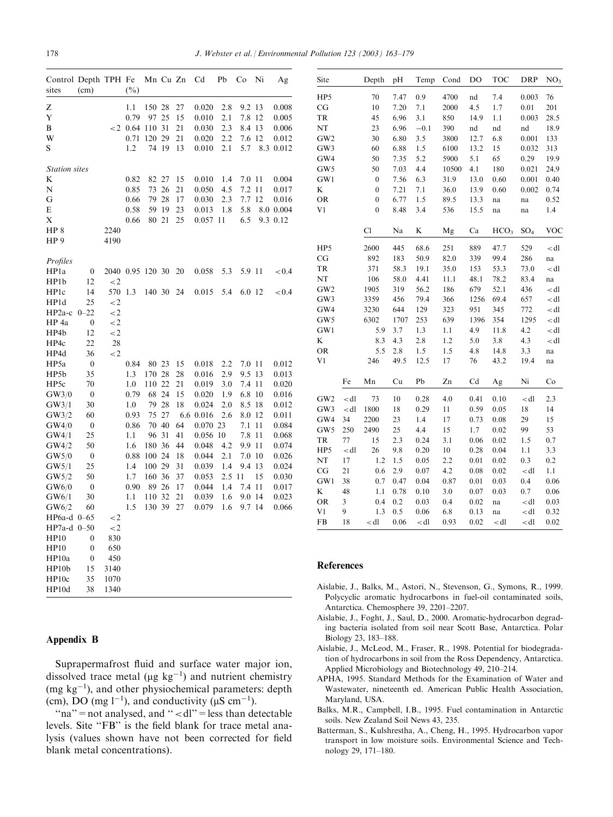<span id="page-15-0"></span>

| Control Depth TPH Fe<br>sites | (cm)             |         | $(\%)$ | Mn Cu Zn |    |    | Cd        | Pb  | Co     | Ni  | Ag        |
|-------------------------------|------------------|---------|--------|----------|----|----|-----------|-----|--------|-----|-----------|
| Z                             |                  |         | 1.1    | 150      | 28 | 27 | 0.020     | 2.8 | 9.2    | 13  | 0.008     |
| Y                             |                  |         | 0.79   | 97       | 25 | 15 | 0.010     | 2.1 | 7.8    | 12  | 0.005     |
| B                             |                  | $\lt 2$ | 0.64   | 110      | 31 | 21 | 0.030     | 2.3 | 8.4    | 13  | 0.006     |
| W                             |                  |         | 0.71   | 120      | 29 | 21 | 0.020     | 2.2 | 7.6    | 12  | 0.012     |
| S                             |                  |         | 1.2    | 74       | 19 | 13 | 0.010     | 2.1 | 5.7    |     | 8.3 0.012 |
| <b>Station</b> sites          |                  |         |        |          |    |    |           |     |        |     |           |
| K                             |                  |         | 0.82   | 82       | 27 | 15 | 0.010     | 1.4 | 7.0 11 |     | 0.004     |
| N                             |                  |         | 0.85   | 73       | 26 | 21 | 0.050     | 4.5 | 7.2    | 11  | 0.017     |
| G                             |                  |         | 0.66   | 79       | 28 | 17 | 0.030     | 2.3 | 7.7    | 12  | 0.016     |
| E                             |                  |         | 0.58   | 59       | 19 | 23 | 0.013     | 1.8 | 5.8    |     | 8.0 0.004 |
| Х                             |                  |         | 0.66   | 80       | 21 | 25 | 0.057     | 11  | 6.5    |     | 9.3 0.12  |
| HP <sub>8</sub>               |                  | 2240    |        |          |    |    |           |     |        |     |           |
| HP <sub>9</sub>               |                  | 4190    |        |          |    |    |           |     |        |     |           |
| Profiles                      |                  |         |        |          |    |    |           |     |        |     |           |
| HP <sub>1</sub> a             | $\boldsymbol{0}$ | 2040    | 0.95   | 120      | 30 | 20 | 0.058     | 5.3 | 5.9 11 |     | < 0.4     |
| HP1b                          | 12               | $\lt 2$ |        |          |    |    |           |     |        |     |           |
| HP1c                          | 14               | 570     | 1.3    | 140 30   |    | 24 | 0.015     | 5.4 | 6.0 12 |     | ${<}0.4$  |
| HP1d                          | 25               | $\lt 2$ |        |          |    |    |           |     |        |     |           |
| HP <sub>2a-c</sub>            | $0 - 22$         | $\lt 2$ |        |          |    |    |           |     |        |     |           |
| HP 4a                         | $\boldsymbol{0}$ | $\lt 2$ |        |          |    |    |           |     |        |     |           |
| HP4b                          | 12               | $\lt 2$ |        |          |    |    |           |     |        |     |           |
| HP4c                          | 22               | 28      |        |          |    |    |           |     |        |     |           |
| HP4d                          | 36               | $\lt 2$ |        |          |    |    |           |     |        |     |           |
| HP5a                          | $\boldsymbol{0}$ |         | 0.84   | 80       | 23 | 15 | 0.018     | 2.2 | 7.0 11 |     | 0.012     |
| HP5b                          | 35               |         | 1.3    | 170      | 28 | 28 | 0.016     | 2.9 | 9.5    | 13  | 0.013     |
| HP <sub>5c</sub>              | 70               |         | 1.0    | 110      | 22 | 21 | 0.019     | 3.0 | 7.4    | 11  | 0.020     |
| GW3/0                         | $\mathbf{0}$     |         | 0.79   | 68       | 24 | 15 | 0.020     | 1.9 | 6.8    | 10  | 0.016     |
| GW3/1                         | 30               |         | 1.0    | 79       | 28 | 18 | 0.024     | 2.0 | 8.5    | 18  | 0.012     |
| GW3/2                         | 60               |         | 0.93   | 75       | 27 |    | 6.6 0.016 | 2.6 | 8.0    | 12  | 0.011     |
| GW4/0                         | $\boldsymbol{0}$ |         | 0.86   | 70       | 40 | 64 | 0.070     | 23  | 7.1    | 11  | 0.084     |
| GW4/1                         | 25               |         | 1.1    | 96       | 31 | 41 | 0.056     | 10  | 7.8    | 11  | 0.068     |
| GW4/2                         | 50               |         | 1.6    | 180      | 36 | 44 | 0.048     | 4.2 | 9.9    | 11  | 0.074     |
| GW5/0                         | $\boldsymbol{0}$ |         | 0.88   | 100      | 24 | 18 | 0.044     | 2.1 | 7.0    | 10  | 0.026     |
| GW5/1                         | 25               |         | 1.4    | 100      | 29 | 31 | 0.039     | 1.4 | 9.4 13 |     | 0.024     |
| GW5/2                         | 50               |         | 1.7    | 160      | 36 | 37 | 0.053     | 2.5 | 11     | 15  | 0.030     |
| GW6/0                         | $\boldsymbol{0}$ |         | 0.90   | 89       | 26 | 17 | 0.044     | 1.4 | 7.4    | 11  | 0.017     |
| GW6/1                         | 30               |         | 1.1    | 110      | 32 | 21 | 0.039     | 1.6 | 9.0    | -14 | 0.023     |
| GW6/2                         | 60               |         | 1.5    | 130      | 39 | 27 | 0.079     | 1.6 | 9.7    | 14  | 0.066     |
| HP6a-d                        | $0 - 65$         | $\lt 2$ |        |          |    |    |           |     |        |     |           |
| HP7a-d                        | $0 - 50$         | $\lt 2$ |        |          |    |    |           |     |        |     |           |
| HP10                          | $\boldsymbol{0}$ | 830     |        |          |    |    |           |     |        |     |           |
| HP10                          | $\boldsymbol{0}$ | 650     |        |          |    |    |           |     |        |     |           |
| HP10a                         | $\boldsymbol{0}$ | 450     |        |          |    |    |           |     |        |     |           |
| HP10b                         | 15               | 3140    |        |          |    |    |           |     |        |     |           |
| HP10c                         | 35               | 1070    |        |          |    |    |           |     |        |     |           |
| HP10d                         | 38               | 1340    |        |          |    |    |           |     |        |     |           |

# Appendix B

Suprapermafrost fluid and surface water major ion, dissolved trace metal ( $\mu$ g kg<sup>-1</sup>) and nutrient chemistry  $(mg kg<sup>-1</sup>)$ , and other physiochemical parameters: depth (cm), DO (mg  $l^{-1}$ ), and conductivity ( $\mu$ S cm<sup>-1</sup>).

" $na$ " = not analysed, and " < dl" = less than detectable levels. Site "FB" is the field blank for trace metal analysis (values shown have not been corrected for field blank metal concentrations).

| Site            |        | Depth            | pH   | Temp                                                                                                         | Cond  | DO   | <b>TOC</b>                                               | DRP                            | NO <sub>3</sub>   |
|-----------------|--------|------------------|------|--------------------------------------------------------------------------------------------------------------|-------|------|----------------------------------------------------------|--------------------------------|-------------------|
| HP5             |        | 70               | 7.47 | 0.9                                                                                                          | 4700  | nd   | 7.4                                                      | 0.003                          | 76                |
| CG              |        | 10               | 7.20 | 7.1                                                                                                          | 2000  | 4.5  | 1.7                                                      | 0.01                           | 201               |
| TR              |        | 45               | 6.96 | 3.1                                                                                                          | 850   | 14.9 | 1.1                                                      | 0.003                          | 28.5              |
| NT              |        | 23               | 6.96 | $-0.1$                                                                                                       | 390   | nd   | nd                                                       | nd                             | 18.9              |
| GW <sub>2</sub> |        | 30               | 6.80 | 3.5                                                                                                          | 3800  | 12.7 | 6.8                                                      | 0.001                          | 133               |
| GW3             |        | 60               | 6.88 | 1.5                                                                                                          | 6100  | 13.2 | 15                                                       | 0.032                          | 313               |
| GW4             |        | 50               | 7.35 | 5.2                                                                                                          | 5900  | 5.1  | 65                                                       | 0.29                           | 19.9              |
| GW <sub>5</sub> |        | 50               | 7.03 | 4.4                                                                                                          | 10500 | 4.1  | 180                                                      | 0.021                          | 24.9              |
| GW1             |        | $\boldsymbol{0}$ | 7.56 | 6.3                                                                                                          | 31.9  | 13.0 | 0.60                                                     | 0.001                          | 0.40              |
| K               |        | 0                | 7.21 | 7.1                                                                                                          | 36.0  | 13.9 | 0.60                                                     | 0.002                          | 0.74              |
| <b>OR</b>       |        | 0                | 6.77 | 1.5                                                                                                          | 89.5  | 13.3 | na                                                       | na                             | 0.52              |
| V1              |        | $\overline{0}$   | 8.48 | 3.4                                                                                                          | 536   | 15.5 | na                                                       | na                             | 1.4               |
|                 |        | Cl               | Na   | K                                                                                                            | Mg    | Ca   | HCO <sub>3</sub>                                         | SO <sub>4</sub>                | <b>VOC</b>        |
| HP5             |        | 2600             | 445  | 68.6                                                                                                         | 251   | 889  | 47.7                                                     | 529                            | <dl< td=""></dl<> |
| CG              |        | 892              | 183  | 50.9                                                                                                         | 82.0  | 339  | 99.4                                                     | 286                            | na                |
| TR              |        | 371              | 58.3 | 19.1                                                                                                         | 35.0  | 153  | 53.3                                                     | 73.0                           | $<$ dl            |
| NT              |        | 106              | 58.0 | 4.41                                                                                                         | 11.1  | 48.1 | 78.2                                                     | 83.4                           | na                |
| GW <sub>2</sub> |        | 1905             | 319  | 56.2                                                                                                         | 186   | 679  | 52.1                                                     | 436                            | $<$ dl            |
| GW3             |        | 3359             | 456  | 79.4                                                                                                         | 366   | 1256 | 69.4                                                     | 657                            | $<$ dl            |
| GW4             |        | 3230             | 644  | 129                                                                                                          | 323   | 951  | 345                                                      | 772                            | $<$ dl            |
| GW5             |        | 6302             | 1707 | 253                                                                                                          | 639   | 1396 | 354                                                      | 1295                           | $<$ dl            |
| GW1             |        | 5.9              | 3.7  | 1.3                                                                                                          | 1.1   | 4.9  | 11.8                                                     | 4.2                            | $<$ dl            |
| K               |        | 8.3              | 4.3  | 2.8                                                                                                          | 1.2   | 5.0  | 3.8                                                      | 4.3                            | $<$ dl            |
| <b>OR</b>       |        | 5.5              | 2.8  | 1.5                                                                                                          | 1.5   | 4.8  | 14.8                                                     | 3.3                            | na                |
| V <sub>1</sub>  |        | 246              | 49.5 | 12.5                                                                                                         | 17    | 76   | 43.2                                                     | 19.4                           | na                |
|                 | Fe     | Mn               | Cu   | Pb                                                                                                           | Zn    | Cd   | Ag                                                       | Ni                             | Co                |
| GW <sub>2</sub> | $<$ dl | 73               | 10   | 0.28                                                                                                         | 4.0   | 0.41 | 0.10                                                     | $<$ dl                         | 2.3               |
| GW3             | $<$ dl | 1800             | 18   | 0.29                                                                                                         | 11    | 0.59 | 0.05                                                     | 18                             | 14                |
| GW4             | 34     | 2200             | 23   | 1.4                                                                                                          | 17    | 0.73 | 0.08                                                     | 29                             | 15                |
| GW <sub>5</sub> | 250    | 2490             | 25   | 4.4                                                                                                          | 15    | 1.7  | 0.02                                                     | 99                             | 53                |
| TR              | 77     | 15               | 2.3  | 0.24                                                                                                         | 3.1   | 0.06 | 0.02                                                     | 1.5                            | 0.7               |
| HP5             | $<$ dl | 26               | 9.8  | 0.20                                                                                                         | 10    | 0.28 | 0.04                                                     | 1.1                            | 3.3               |
| NT              | 17     | 1.2              | 1.5  | 0.05                                                                                                         | 2.2   | 0.01 | 0.02                                                     | 0.3                            | 0.2               |
| $_{\rm CG}$     | 21     | 0.6              | 2.9  | 0.07                                                                                                         | 4.2   | 0.08 | 0.02                                                     | $<$ dl                         | 1.1               |
| GW1             | 38     | 0.7              | 0.47 | 0.04                                                                                                         | 0.87  | 0.01 | 0.03                                                     | 0.4                            | 0.06              |
| K               | 48     | 1.1              | 0.78 | 0.10                                                                                                         | 3.0   | 0.07 | 0.03                                                     | 0.7                            | 0.06              |
| <b>OR</b>       | 3      | 0.4              | 0.2  | 0.03                                                                                                         | 0.4   | 0.02 | na                                                       | $<$ dl                         | 0.03              |
| V <sub>1</sub>  | 9      | 1.3              | 0.5  | 0.06                                                                                                         | 6.8   | 0.13 | na                                                       | $<$ dl                         | 0.32              |
| FB              | 18     | $<$ dl           | 0.06 | <dl< td=""><td>0.93</td><td>0.02</td><td><dl< td=""><td><dl< td=""><td>0.02</td></dl<></td></dl<></td></dl<> | 0.93  | 0.02 | <dl< td=""><td><dl< td=""><td>0.02</td></dl<></td></dl<> | <dl< td=""><td>0.02</td></dl<> | 0.02              |

#### References

- Aislabie, J., Balks, M., Astori, N., Stevenson, G., Symons, R., 1999. Polycyclic aromatic hydrocarbons in fuel-oil contaminated soils, Antarctica. Chemosphere 39, 2201–2207.
- Aislabie, J., Foght, J., Saul, D., 2000. Aromatic-hydrocarbon degrading bacteria isolated from soil near Scott Base, Antarctica. Polar Biology 23, 183–188.
- Aislabie, J., McLeod, M., Fraser, R., 1998. Potential for biodegradation of hydrocarbons in soil from the Ross Dependency, Antarctica. Applied Microbiology and Biotechnology 49, 210–214.
- APHA, 1995. Standard Methods for the Examination of Water and Wastewater, nineteenth ed. American Public Health Association, Maryland, USA.
- Balks, M.R., Campbell, I.B., 1995. Fuel contamination in Antarctic soils. New Zealand Soil News 43, 235.
- Batterman, S., Kulshrestha, A., Cheng, H., 1995. Hydrocarbon vapor transport in low moisture soils. Environmental Science and Technology 29, 171–180.